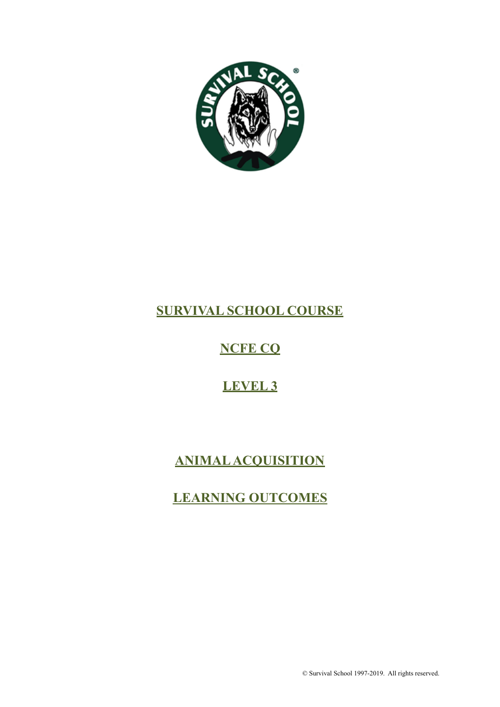

# **SURVIVAL SCHOOL COURSE**

# **NCFE CQ**

# **LEVEL 3**

# **ANIMAL ACQUISITION**

# **LEARNING OUTCOMES**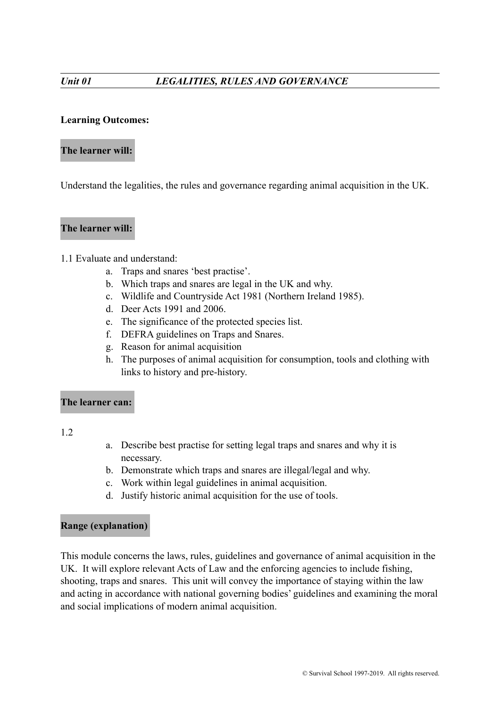## **Learning Outcomes:**

#### **The learner will:**

Understand the legalities, the rules and governance regarding animal acquisition in the UK.

#### **The learner will:**

#### 1.1 Evaluate and understand:

- a. Traps and snares 'best practise'.
- b. Which traps and snares are legal in the UK and why.
- c. Wildlife and Countryside Act 1981 (Northern Ireland 1985).
- d. Deer Acts 1991 and 2006.
- e. The significance of the protected species list.
- f. DEFRA guidelines on Traps and Snares.
- g. Reason for animal acquisition
- h. The purposes of animal acquisition for consumption, tools and clothing with links to history and pre-history.

# **The learner can:**

1.2

- a. Describe best practise for setting legal traps and snares and why it is necessary.
- b. Demonstrate which traps and snares are illegal/legal and why.
- c. Work within legal guidelines in animal acquisition.
- d. Justify historic animal acquisition for the use of tools.

#### **Range (explanation)**

This module concerns the laws, rules, guidelines and governance of animal acquisition in the UK. It will explore relevant Acts of Law and the enforcing agencies to include fishing, shooting, traps and snares. This unit will convey the importance of staying within the law and acting in accordance with national governing bodies' guidelines and examining the moral and social implications of modern animal acquisition.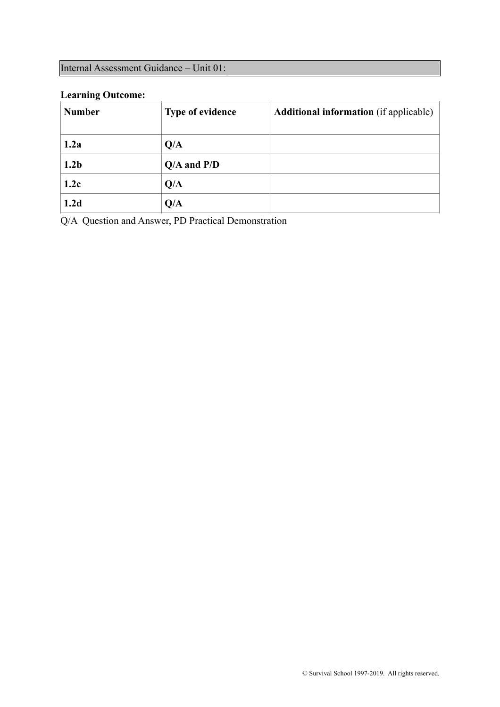# **Learning Outcome:**

| <b>Number</b>    | Type of evidence | Additional information (if applicable) |
|------------------|------------------|----------------------------------------|
| 1.2a             | Q/A              |                                        |
| 1.2 <sub>b</sub> | $Q/A$ and $P/D$  |                                        |
| 1.2c             | Q/A              |                                        |
| 1.2d             | Q/A              |                                        |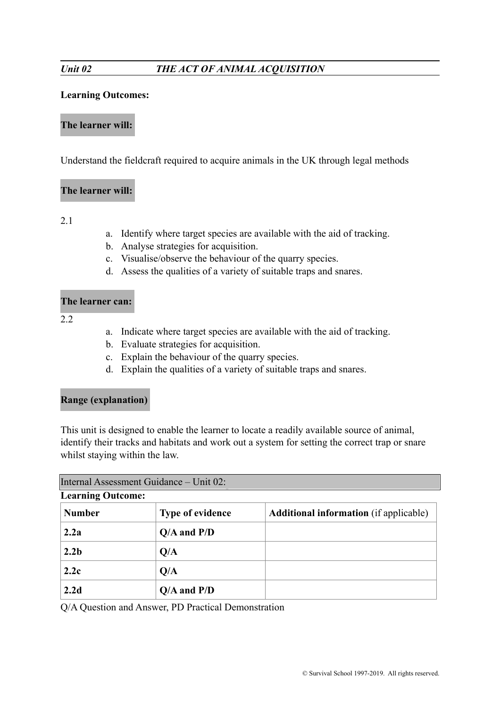## **Learning Outcomes:**

#### **The learner will:**

Understand the fieldcraft required to acquire animals in the UK through legal methods

### **The learner will:**

2.1

- a. Identify where target species are available with the aid of tracking.
- b. Analyse strategies for acquisition.
- c. Visualise/observe the behaviour of the quarry species.
- d. Assess the qualities of a variety of suitable traps and snares.

#### **The learner can:**

 $2.2$ 

- a. Indicate where target species are available with the aid of tracking.
- b. Evaluate strategies for acquisition.
- c. Explain the behaviour of the quarry species.
- d. Explain the qualities of a variety of suitable traps and snares.

# **Range (explanation)**

This unit is designed to enable the learner to locate a readily available source of animal, identify their tracks and habitats and work out a system for setting the correct trap or snare whilst staying within the law.

| Internal Assessment Guidance – Unit 02: |                         |                                               |  |  |
|-----------------------------------------|-------------------------|-----------------------------------------------|--|--|
| <b>Learning Outcome:</b>                |                         |                                               |  |  |
| <b>Number</b>                           | <b>Type of evidence</b> | <b>Additional information</b> (if applicable) |  |  |
| 2.2a                                    | $Q/A$ and $P/D$         |                                               |  |  |
| 2.2 <sub>b</sub>                        | Q/A                     |                                               |  |  |
| 2.2c                                    | Q/A                     |                                               |  |  |
| 2.2d                                    | $Q/A$ and $P/D$         |                                               |  |  |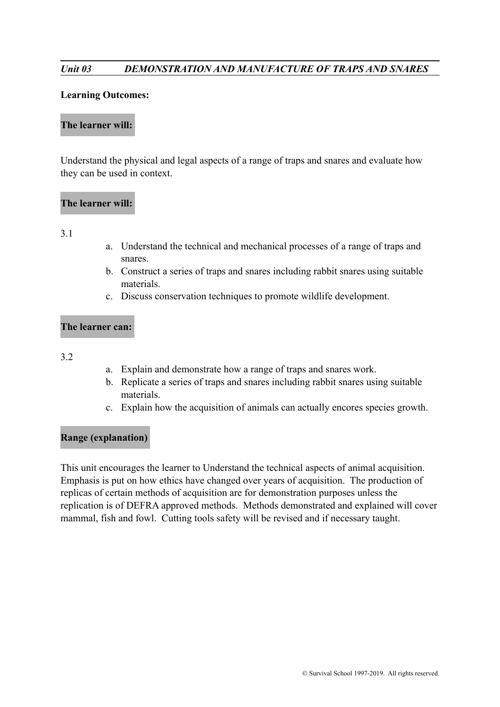# *Unit 03 DEMONSTRATION AND MANUFACTURE OF TRAPS AND SNARES*

#### **Learning Outcomes:**

#### **The learner will:**

Understand the physical and legal aspects of a range of traps and snares and evaluate how they can be used in context.

#### **The learner will:**

#### 3.1

- a. Understand the technical and mechanical processes of a range of traps and snares.
- b. Construct a series of traps and snares including rabbit snares using suitable materials.
- c. Discuss conservation techniques to promote wildlife development.

### **The learner can:**

#### 3.2

- a. Explain and demonstrate how a range of traps and snares work.
- b. Replicate a series of traps and snares including rabbit snares using suitable materials.
- c. Explain how the acquisition of animals can actually encores species growth.

#### **Range (explanation)**

This unit encourages the learner to Understand the technical aspects of animal acquisition. Emphasis is put on how ethics have changed over years of acquisition. The production of replicas of certain methods of acquisition are for demonstration purposes unless the replication is of DEFRA approved methods. Methods demonstrated and explained will cover mammal, fish and fowl. Cutting tools safety will be revised and if necessary taught.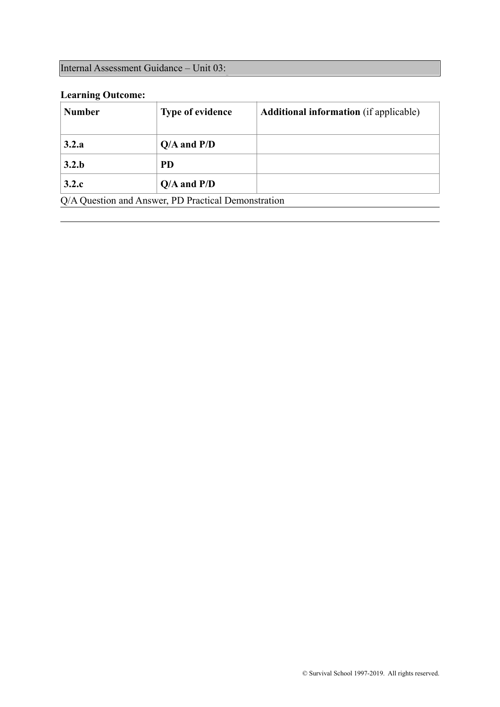# Internal Assessment Guidance – Unit 03:

# **Learning Outcome:**

| <b>Number</b>                                       | <b>Type of evidence</b> | <b>Additional information</b> (if applicable) |
|-----------------------------------------------------|-------------------------|-----------------------------------------------|
| 3.2.a                                               | $Q/A$ and $P/D$         |                                               |
| 3.2.b                                               | <b>PD</b>               |                                               |
| 3.2.c                                               | $Q/A$ and $P/D$         |                                               |
| Q/A Question and Answer, PD Practical Demonstration |                         |                                               |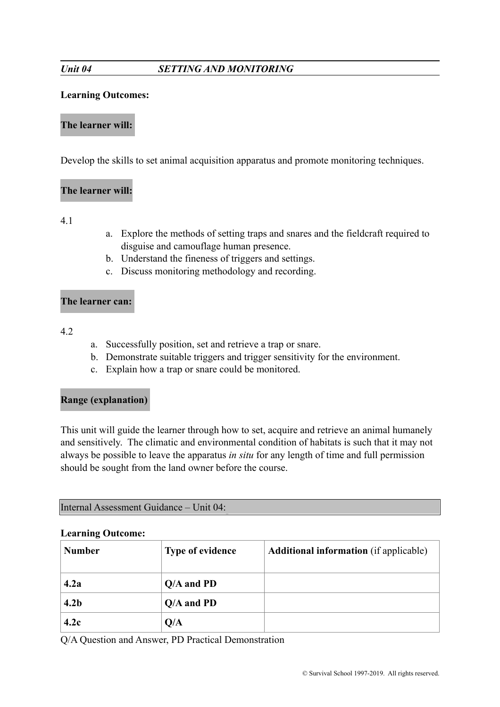# *Unit 04 SETTING AND MONITORING*

## **Learning Outcomes:**

#### **The learner will:**

Develop the skills to set animal acquisition apparatus and promote monitoring techniques.

# **The learner will:**

4.1

- a. Explore the methods of setting traps and snares and the fieldcraft required to disguise and camouflage human presence.
- b. Understand the fineness of triggers and settings.
- c. Discuss monitoring methodology and recording.

#### **The learner can:**

4.2

- a. Successfully position, set and retrieve a trap or snare.
- b. Demonstrate suitable triggers and trigger sensitivity for the environment.
- c. Explain how a trap or snare could be monitored.

# **Range (explanation)**

This unit will guide the learner through how to set, acquire and retrieve an animal humanely and sensitively. The climatic and environmental condition of habitats is such that it may not always be possible to leave the apparatus *in situ* for any length of time and full permission should be sought from the land owner before the course.

Internal Assessment Guidance – Unit 04:

#### **Learning Outcome:**

| <b>Number</b>    | <b>Type of evidence</b> | <b>Additional information</b> (if applicable) |
|------------------|-------------------------|-----------------------------------------------|
| 4.2a             | $Q/A$ and PD            |                                               |
| 4.2 <sub>b</sub> | $Q/A$ and PD            |                                               |
| 4.2c             | Q/A                     |                                               |